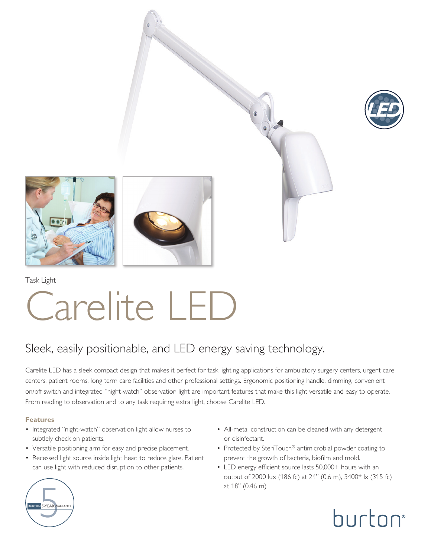







Task Light

# Carelite LED

### Sleek, easily positionable, and LED energy saving technology.

Carelite LED has a sleek compact design that makes it perfect for task lighting applications for ambulatory surgery centers, urgent care centers, patient rooms, long term care facilities and other professional settings. Ergonomic positioning handle, dimming, convenient on/off switch and integrated "night-watch" observation light are important features that make this light versatile and easy to operate. From reading to observation and to any task requiring extra light, choose Carelite LED.

#### **Features**

- Integrated "night-watch" observation light allow nurses to subtlely check on patients.
- Versatile positioning arm for easy and precise placement.
- Recessed light source inside light head to reduce glare. Patient can use light with reduced disruption to other patients.
- All-metal construction can be cleaned with any detergent or disinfectant.
- Protected by SteriTouch® antimicrobial powder coating to prevent the growth of bacteria, biofilm and mold.
- LED energy efficient source lasts 50,000+ hours with an output of 2000 lux (186 fc) at 24" (0.6 m), 3400\* lx (315 fc) at 18" (0.46 m)



burton®